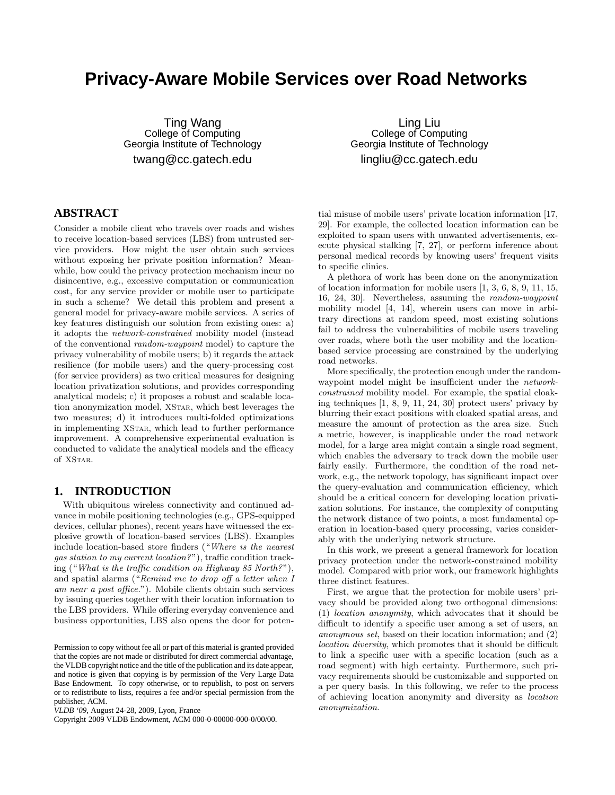# **Privacy-Aware Mobile Services over Road Networks**

Ting Wang College of Computing Georgia Institute of Technology twang@cc.gatech.edu

Ling Liu College of Computing Georgia Institute of Technology lingliu@cc.gatech.edu

# **ABSTRACT**

Consider a mobile client who travels over roads and wishes to receive location-based services (LBS) from untrusted service providers. How might the user obtain such services without exposing her private position information? Meanwhile, how could the privacy protection mechanism incur no disincentive, e.g., excessive computation or communication cost, for any service provider or mobile user to participate in such a scheme? We detail this problem and present a general model for privacy-aware mobile services. A series of key features distinguish our solution from existing ones: a) it adopts the *network-constrained* mobility model (instead of the conventional *random-waypoint* model) to capture the privacy vulnerability of mobile users; b) it regards the attack resilience (for mobile users) and the query-processing cost (for service providers) as two critical measures for designing location privatization solutions, and provides corresponding analytical models; c) it proposes a robust and scalable location anonymization model, XStar, which best leverages the two measures; d) it introduces multi-folded optimizations in implementing XStar, which lead to further performance improvement. A comprehensive experimental evaluation is conducted to validate the analytical models and the efficacy of XSTAR.

# **1. INTRODUCTION**

With ubiquitous wireless connectivity and continued advance in mobile positioning technologies (e.g., GPS-equipped devices, cellular phones), recent years have witnessed the explosive growth of location-based services (LBS). Examples include location-based store finders ("*Where is the nearest gas station to my current location?*"), traffic condition tracking ("*What is the traffic condition on Highway 85 North?*"), and spatial alarms ("*Remind me to drop off a letter when I am near a post office.*"). Mobile clients obtain such services by issuing queries together with their location information to the LBS providers. While offering everyday convenience and business opportunities, LBS also opens the door for potential misuse of mobile users' private location information [17, 29]. For example, the collected location information can be exploited to spam users with unwanted advertisements, execute physical stalking [7, 27], or perform inference about personal medical records by knowing users' frequent visits to specific clinics.

A plethora of work has been done on the anonymization of location information for mobile users [1, 3, 6, 8, 9, 11, 15, 16, 24, 30]. Nevertheless, assuming the *random-waypoint* mobility model [4, 14], wherein users can move in arbitrary directions at random speed, most existing solutions fail to address the vulnerabilities of mobile users traveling over roads, where both the user mobility and the locationbased service processing are constrained by the underlying road networks.

More specifically, the protection enough under the randomwaypoint model might be insufficient under the *networkconstrained* mobility model. For example, the spatial cloaking techniques [1, 8, 9, 11, 24, 30] protect users' privacy by blurring their exact positions with cloaked spatial areas, and measure the amount of protection as the area size. Such a metric, however, is inapplicable under the road network model, for a large area might contain a single road segment, which enables the adversary to track down the mobile user fairly easily. Furthermore, the condition of the road network, e.g., the network topology, has significant impact over the query-evaluation and communication efficiency, which should be a critical concern for developing location privatization solutions. For instance, the complexity of computing the network distance of two points, a most fundamental operation in location-based query processing, varies considerably with the underlying network structure.

In this work, we present a general framework for location privacy protection under the network-constrained mobility model. Compared with prior work, our framework highlights three distinct features.

First, we argue that the protection for mobile users' privacy should be provided along two orthogonal dimensions: (1) *location anonymity*, which advocates that it should be difficult to identify a specific user among a set of users, an *anonymous set*, based on their location information; and (2) *location diversity*, which promotes that it should be difficult to link a specific user with a specific location (such as a road segment) with high certainty. Furthermore, such privacy requirements should be customizable and supported on a per query basis. In this following, we refer to the process of achieving location anonymity and diversity as *location anonymization*.

Permission to copy without fee all or part of this material is granted provided that the copies are not made or distributed for direct commercial advantage, the VLDB copyright notice and the title of the publication and its date appear, and notice is given that copying is by permission of the Very Large Data Base Endowment. To copy otherwise, or to republish, to post on servers or to redistribute to lists, requires a fee and/or special permission from the publisher, ACM.

*VLDB '09,* August 24-28, 2009, Lyon, France

Copyright 2009 VLDB Endowment, ACM 000-0-00000-000-0/00/00.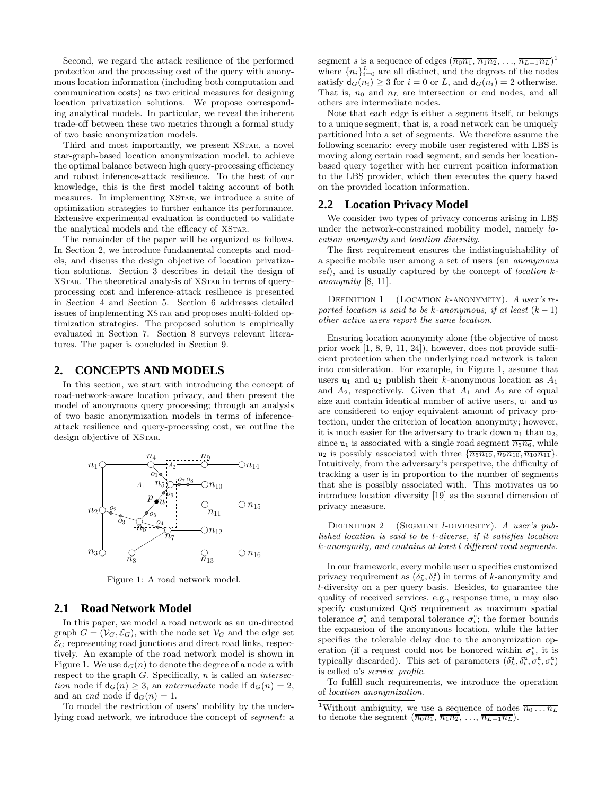Second, we regard the attack resilience of the performed protection and the processing cost of the query with anonymous location information (including both computation and communication costs) as two critical measures for designing location privatization solutions. We propose corresponding analytical models. In particular, we reveal the inherent trade-off between these two metrics through a formal study of two basic anonymization models.

Third and most importantly, we present XSTAR, a novel star-graph-based location anonymization model, to achieve the optimal balance between high query-processing efficiency and robust inference-attack resilience. To the best of our knowledge, this is the first model taking account of both measures. In implementing XStar, we introduce a suite of optimization strategies to further enhance its performance. Extensive experimental evaluation is conducted to validate the analytical models and the efficacy of XSTAR.

The remainder of the paper will be organized as follows. In Section 2, we introduce fundamental concepts and models, and discuss the design objective of location privatization solutions. Section 3 describes in detail the design of XStar. The theoretical analysis of XStar in terms of queryprocessing cost and inference-attack resilience is presented in Section 4 and Section 5. Section 6 addresses detailed issues of implementing XSTAR and proposes multi-folded optimization strategies. The proposed solution is empirically evaluated in Section 7. Section 8 surveys relevant literatures. The paper is concluded in Section 9.

## **2. CONCEPTS AND MODELS**

In this section, we start with introducing the concept of road-network-aware location privacy, and then present the model of anonymous query processing; through an analysis of two basic anonymization models in terms of inferenceattack resilience and query-processing cost, we outline the design objective of XSTAR.



Figure 1: A road network model.

## **2.1 Road Network Model**

In this paper, we model a road network as an un-directed graph  $G = (\mathcal{V}_G, \mathcal{E}_G)$ , with the node set  $\mathcal{V}_G$  and the edge set  $\mathcal{E}_G$  representing road junctions and direct road links, respectively. An example of the road network model is shown in Figure 1. We use  $d_G(n)$  to denote the degree of a node n with respect to the graph G. Specifically, n is called an *intersection* node if  $d_G(n) \geq 3$ , an *intermediate* node if  $d_G(n) = 2$ , and an *end* node if  $d_G(n) = 1$ .

To model the restriction of users' mobility by the underlying road network, we introduce the concept of *segment*: a

segment s is a sequence of edges  $(\overline{n_0 n_1}, \overline{n_1 n_2}, \ldots, \overline{n_{L-1} n_L})^1$ where  $\{n_i\}_{i=0}^L$  are all distinct, and the degrees of the nodes satisfy  $d_G(n_i) \geq 3$  for  $i = 0$  or L, and  $d_G(n_i) = 2$  otherwise. That is,  $n_0$  and  $n<sub>L</sub>$  are intersection or end nodes, and all others are intermediate nodes.

Note that each edge is either a segment itself, or belongs to a unique segment; that is, a road network can be uniquely partitioned into a set of segments. We therefore assume the following scenario: every mobile user registered with LBS is moving along certain road segment, and sends her locationbased query together with her current position information to the LBS provider, which then executes the query based on the provided location information.

## **2.2 Location Privacy Model**

We consider two types of privacy concerns arising in LBS under the network-constrained mobility model, namely *location anonymity* and *location diversity*.

The first requirement ensures the indistinguishability of a specific mobile user among a set of users (an *anonymous set*), and is usually captured by the concept of *location* k*anonymity* [8, 11].

Definition 1 (Location k-anonymity). *A user's reported location is said to be* k-anonymous, if at least  $(k-1)$ *other active users report the same location.*

Ensuring location anonymity alone (the objective of most prior work [1, 8, 9, 11, 24]), however, does not provide sufficient protection when the underlying road network is taken into consideration. For example, in Figure 1, assume that users  $u_1$  and  $u_2$  publish their k-anonymous location as  $A_1$ and  $A_2$ , respectively. Given that  $A_1$  and  $A_2$  are of equal size and contain identical number of active users,  $u_1$  and  $u_2$ are considered to enjoy equivalent amount of privacy protection, under the criterion of location anonymity; however, it is much easier for the adversary to track down  $u_1$  than  $u_2$ , since  $u_1$  is associated with a single road segment  $\overline{n_5n_6}$ , while  $u_2$  is possibly associated with three  $\{\overline{n_5n_{10}}, \overline{n_9n_{10}}, \overline{n_{10}n_{11}}\}.$ Intuitively, from the adversary's perspetive, the difficulty of tracking a user is in proportion to the number of segments that she is possibly associated with. This motivates us to introduce location diversity [19] as the second dimension of privacy measure.

Definition 2 (Segment l-diversity). *A user's published location is said to be* l*-diverse, if it satisfies location* k*-anonymity, and contains at least* l *different road segments.*

In our framework, every mobile user u specifies customized privacy requirement as  $(\delta_k^{\mathfrak{u}}, \delta_l^{\mathfrak{u}})$  in terms of k-anonymity and l-diversity on a per query basis. Besides, to guarantee the quality of received services, e.g., response time, u may also specify customized QoS requirement as maximum spatial tolerance  $\sigma_s^{\mathfrak{u}}$  and temporal tolerance  $\sigma_t^{\mathfrak{u}}$ ; the former bounds the expansion of the anonymous location, while the latter specifies the tolerable delay due to the anonymization operation (if a request could not be honored within  $\sigma_t^{\mathfrak{u}}$ , it is typically discarded). This set of parameters  $(\delta_k^{\mathfrak{u}}, \delta_l^{\mathfrak{u}}, \sigma_s^{\mathfrak{u}}, \sigma_t^{\mathfrak{u}})$ is called u's *service profile*.

To fulfill such requirements, we introduce the operation of *location anonymization*.

<sup>&</sup>lt;sup>1</sup>Without ambiguity, we use a sequence of nodes  $\overline{n_0 \dots n_L}$ to denote the segment  $(\overline{n_0 n_1}, \overline{n_1 n_2}, \ldots, \overline{n_{L-1} n_L}).$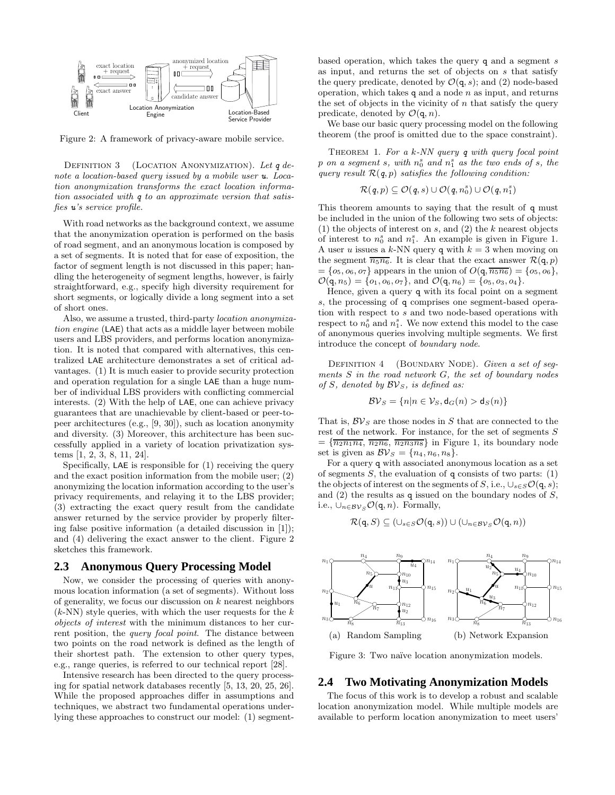

Figure 2: A framework of privacy-aware mobile service.

Definition 3 (Location Anonymization). *Let* q *denote a location-based query issued by a mobile user* u*. Location anonymization transforms the exact location information associated with* q *to an approximate version that satisfies* u*'s service profile.*

With road networks as the background context, we assume that the anonymization operation is performed on the basis of road segment, and an anonymous location is composed by a set of segments. It is noted that for ease of exposition, the factor of segment length is not discussed in this paper; handling the heterogeneity of segment lengths, however, is fairly straightforward, e.g., specify high diversity requirement for short segments, or logically divide a long segment into a set of short ones.

Also, we assume a trusted, third-party *location anonymization engine* (LAE) that acts as a middle layer between mobile users and LBS providers, and performs location anonymization. It is noted that compared with alternatives, this centralized LAE architecture demonstrates a set of critical advantages. (1) It is much easier to provide security protection and operation regulation for a single LAE than a huge number of individual LBS providers with conflicting commercial interests. (2) With the help of LAE, one can achieve privacy guarantees that are unachievable by client-based or peer-topeer architectures (e.g., [9, 30]), such as location anonymity and diversity. (3) Moreover, this architecture has been successfully applied in a variety of location privatization systems [1, 2, 3, 8, 11, 24].

Specifically, LAE is responsible for (1) receiving the query and the exact position information from the mobile user; (2) anonymizing the location information according to the user's privacy requirements, and relaying it to the LBS provider; (3) extracting the exact query result from the candidate answer returned by the service provider by properly filtering false positive information (a detailed discussion in [1]); and (4) delivering the exact answer to the client. Figure 2 sketches this framework.

#### **2.3 Anonymous Query Processing Model**

Now, we consider the processing of queries with anonymous location information (a set of segments). Without loss of generality, we focus our discussion on  $k$  nearest neighbors  $(k-NN)$  style queries, with which the user requests for the k *objects of interest* with the minimum distances to her current position, the *query focal point*. The distance between two points on the road network is defined as the length of their shortest path. The extension to other query types, e.g., range queries, is referred to our technical report [28].

Intensive research has been directed to the query processing for spatial network databases recently [5, 13, 20, 25, 26]. While the proposed approaches differ in assumptions and techniques, we abstract two fundamental operations underlying these approaches to construct our model: (1) segmentbased operation, which takes the query  $q$  and a segment  $s$ as input, and returns the set of objects on s that satisfy the query predicate, denoted by  $\mathcal{O}(q, s)$ ; and (2) node-based operation, which takes  $q$  and a node  $n$  as input, and returns the set of objects in the vicinity of  $n$  that satisfy the query predicate, denoted by  $\mathcal{O}(\mathsf{q}, n)$ .

We base our basic query processing model on the following theorem (the proof is omitted due to the space constraint).

Theorem 1. *For a* k*-NN query* q *with query focal point* p on a segment s, with  $n_0^s$  and  $n_1^s$  as the two ends of s, the *query result* R(q, p) *satisfies the following condition:*

$$
\mathcal{R}(q,p) \subseteq \mathcal{O}(q,s) \cup \mathcal{O}(q,n_0^s) \cup \mathcal{O}(q,n_1^s)
$$

This theorem amounts to saying that the result of q must be included in the union of the following two sets of objects: (1) the objects of interest on  $s$ , and (2) the  $k$  nearest objects of interest to  $n_0^s$  and  $n_1^s$ . An example is given in Figure 1. A user u issues a k-NN query **q** with  $k = 3$  when moving on the segment  $\overline{n_5n_6}$ . It is clear that the exact answer  $\mathcal{R}(\mathbf{q}, p)$  $= \{o_5, o_6, o_7\}$  appears in the union of  $O(q, \overline{n_5n_6}) = \{o_5, o_6\},\$  $\mathcal{O}(\mathsf{q}, n_5) = \{o_1, o_6, o_7\}$ , and  $\mathcal{O}(\mathsf{q}, n_6) = \{o_5, o_3, o_4\}.$ 

Hence, given a query q with its focal point on a segment s, the processing of q comprises one segment-based operation with respect to s and two node-based operations with respect to  $n_0^s$  and  $n_1^s$ . We now extend this model to the case of anonymous queries involving multiple segments. We first introduce the concept of *boundary node*.

Definition 4 (Boundary Node). *Given a set of segments* S *in the road network* G*, the set of boundary nodes of S, denoted by*  $BV_S$ *, is defined as:* 

$$
BV_S = \{ n | n \in \mathcal{V}_S, \mathsf{d}_G(n) > \mathsf{d}_S(n) \}
$$

That is,  $\mathcal{BV}_S$  are those nodes in S that are connected to the rest of the network. For instance, for the set of segments S  $=\{\overline{n_2n_1n_4},\,\overline{n_2n_6},\,\overline{n_2n_3n_8}\}\$  in Figure 1, its boundary node set is given as  $\mathcal{BV}_S = \{n_4, n_6, n_8\}.$ 

For a query q with associated anonymous location as a set of segments  $S$ , the evaluation of q consists of two parts: (1) the objects of interest on the segments of S, i.e.,  $\cup_{s\in S} \mathcal{O}(q, s)$ ; and  $(2)$  the results as q issued on the boundary nodes of S, i.e.,  $\cup_{n\in\mathcal{BV}_S}\mathcal{O}(\mathsf{q},n)$ . Formally,

$$
\mathcal{R}(\mathsf{q},S) \subseteq (\cup_{s \in S} \mathcal{O}(\mathsf{q},s)) \cup (\cup_{n \in \mathcal{BV}_S} \mathcal{O}(\mathsf{q},n))
$$



Figure 3: Two naïve location anonymization models.

#### **2.4 Two Motivating Anonymization Models**

The focus of this work is to develop a robust and scalable location anonymization model. While multiple models are available to perform location anonymization to meet users'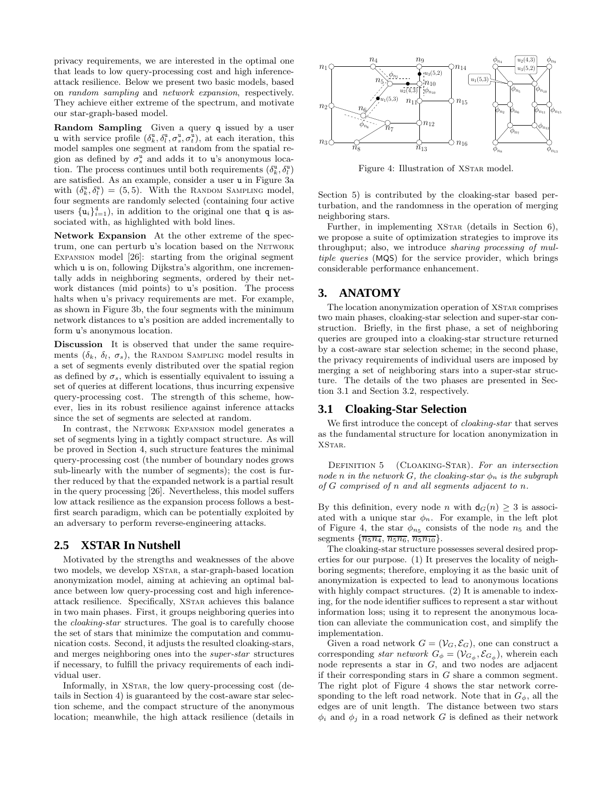privacy requirements, we are interested in the optimal one that leads to low query-processing cost and high inferenceattack resilience. Below we present two basic models, based on *random sampling* and *network expansion*, respectively. They achieve either extreme of the spectrum, and motivate our star-graph-based model.

Random Sampling Given a query q issued by a user **u** with service profile  $(\delta_k^{\mathbf{u}}, \delta_l^{\mathbf{u}}, \sigma_s^{\mathbf{u}}, \sigma_t^{\mathbf{u}})$ , at each iteration, this model samples one segment at random from the spatial region as defined by  $\sigma_s^{\mathfrak{u}}$  and adds it to **u**'s anonymous location. The process continues until both requirements  $(\delta_k^{\mathfrak{u}}, \delta_l^{\mathfrak{u}})$ are satisfied. As an example, consider a user u in Figure 3a with  $(\delta_k^{\rm u}, \delta_l^{\rm u}) = (5, 5)$ . With the RANDOM SAMPLING model, four segments are randomly selected (containing four active users  $\{\mathbf{u}_i\}_{i=1}^4$ ), in addition to the original one that q is associated with, as highlighted with bold lines.

Network Expansion At the other extreme of the spectrum, one can perturb u's location based on the NETWORK EXPANSION model [26]: starting from the original segment which **u** is on, following Dijkstra's algorithm, one incrementally adds in neighboring segments, ordered by their network distances (mid points) to u's position. The process halts when u's privacy requirements are met. For example, as shown in Figure 3b, the four segments with the minimum network distances to u's position are added incrementally to form u's anonymous location.

Discussion It is observed that under the same requirements  $(\delta_k, \delta_l, \sigma_s)$ , the RANDOM SAMPLING model results in a set of segments evenly distributed over the spatial region as defined by  $\sigma_s$ , which is essentially equivalent to issuing a set of queries at different locations, thus incurring expensive query-processing cost. The strength of this scheme, however, lies in its robust resilience against inference attacks since the set of segments are selected at random.

In contrast, the NETWORK EXPANSION model generates a set of segments lying in a tightly compact structure. As will be proved in Section 4, such structure features the minimal query-processing cost (the number of boundary nodes grows sub-linearly with the number of segments); the cost is further reduced by that the expanded network is a partial result in the query processing [26]. Nevertheless, this model suffers low attack resilience as the expansion process follows a bestfirst search paradigm, which can be potentially exploited by an adversary to perform reverse-engineering attacks.

# **2.5 XSTAR In Nutshell**

Motivated by the strengths and weaknesses of the above two models, we develop XStar, a star-graph-based location anonymization model, aiming at achieving an optimal balance between low query-processing cost and high inferenceattack resilience. Specifically, XStar achieves this balance in two main phases. First, it groups neighboring queries into the *cloaking-star* structures. The goal is to carefully choose the set of stars that minimize the computation and communication costs. Second, it adjusts the resulted cloaking-stars, and merges neighboring ones into the *super-star* structures if necessary, to fulfill the privacy requirements of each individual user.

Informally, in XSTAR, the low query-processing cost (details in Section 4) is guaranteed by the cost-aware star selection scheme, and the compact structure of the anonymous location; meanwhile, the high attack resilience (details in



Figure 4: Illustration of XSTAR model.

Section 5) is contributed by the cloaking-star based perturbation, and the randomness in the operation of merging neighboring stars.

Further, in implementing XSTAR (details in Section 6), we propose a suite of optimization strategies to improve its throughput; also, we introduce *sharing processing of multiple queries* (MQS) for the service provider, which brings considerable performance enhancement.

## **3. ANATOMY**

The location anonymization operation of XSTAR comprises two main phases, cloaking-star selection and super-star construction. Briefly, in the first phase, a set of neighboring queries are grouped into a cloaking-star structure returned by a cost-aware star selection scheme; in the second phase, the privacy requirements of individual users are imposed by merging a set of neighboring stars into a super-star structure. The details of the two phases are presented in Section 3.1 and Section 3.2, respectively.

# **3.1 Cloaking-Star Selection**

We first introduce the concept of *cloaking-star* that serves as the fundamental structure for location anonymization in XStar.

Definition 5 (Cloaking-Star). *For an intersection node n in the network G, the cloaking-star*  $\phi_n$  *is the subgraph of* G *comprised of* n *and all segments adjacent to* n*.*

By this definition, every node n with  $d_G(n) \geq 3$  is associated with a unique star  $\phi_n$ . For example, in the left plot of Figure 4, the star  $\phi_{n_5}$  consists of the node  $n_5$  and the segments  $\{\overline{n_5n_4}, \overline{n_5n_6}, \overline{n_5n_{10}}\}.$ 

The cloaking-star structure possesses several desired properties for our purpose. (1) It preserves the locality of neighboring segments; therefore, employing it as the basic unit of anonymization is expected to lead to anonymous locations with highly compact structures. (2) It is amenable to indexing, for the node identifier suffices to represent a star without information loss; using it to represent the anonymous location can alleviate the communication cost, and simplify the implementation.

Given a road network  $G = (\mathcal{V}_G, \mathcal{E}_G)$ , one can construct a corresponding *star network*  $G_{\phi} = (\mathcal{V}_{G_{\phi}}, \mathcal{E}_{G_{\phi}})$ , wherein each node represents a star in G, and two nodes are adjacent if their corresponding stars in G share a common segment. The right plot of Figure 4 shows the star network corresponding to the left road network. Note that in  $G_{\phi}$ , all the edges are of unit length. The distance between two stars  $\phi_i$  and  $\phi_j$  in a road network G is defined as their network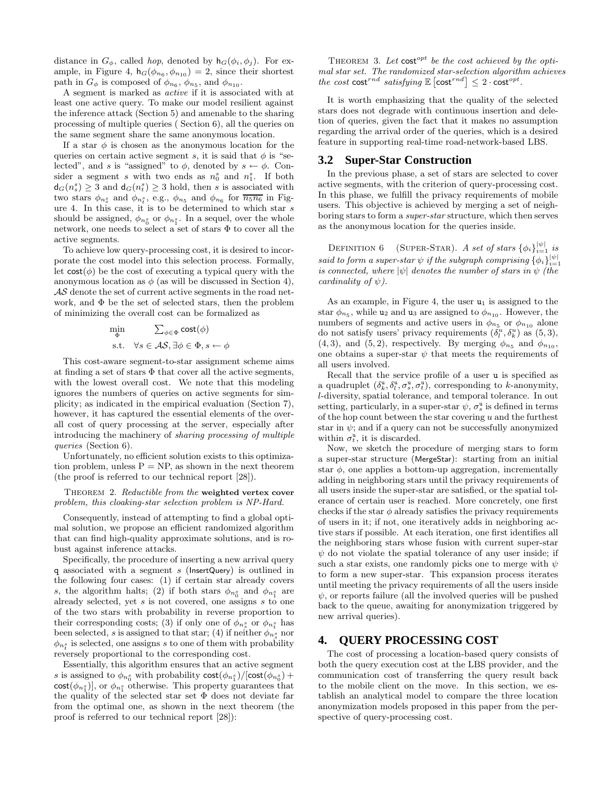distance in  $G_{\phi}$ , called *hop*, denoted by  $h_G(\phi_i, \phi_j)$ . For example, in Figure 4,  $h_G(\phi_{n_6}, \phi_{n_{10}}) = 2$ , since their shortest path in  $G_{\phi}$  is composed of  $\phi_{n_6}, \phi_{n_5}$ , and  $\phi_{n_{10}}$ .

A segment is marked as *active* if it is associated with at least one active query. To make our model resilient against the inference attack (Section 5) and amenable to the sharing processing of multiple queries ( Section 6), all the queries on the same segment share the same anonymous location.

If a star  $\phi$  is chosen as the anonymous location for the queries on certain active segment s, it is said that  $\phi$  is "selected", and s is "assigned" to  $\phi$ , denoted by  $s \leftarrow \phi$ . Consider a segment s with two ends as  $n_0^s$  and  $n_1^s$ . If both  $d_G(n_s^s) \geq 3$  and  $d_G(n_t^s) \geq 3$  hold, then s is associated with two stars  $\phi_{n_s}$  and  $\phi_{n_t}$ , e.g.,  $\phi_{n_5}$  and  $\phi_{n_6}$  for  $\overline{n_5n_6}$  in Figure 4. In this case, it is to be determined to which star s should be assigned,  $\phi_{n_0^s}$  or  $\phi_{n_1^s}$ . In a sequel, over the whole network, one needs to select a set of stars  $\Phi$  to cover all the active segments.

To achieve low query-processing cost, it is desired to incorporate the cost model into this selection process. Formally, let  $cost(\phi)$  be the cost of executing a typical query with the anonymous location as  $\phi$  (as will be discussed in Section 4),  $\mathcal{AS}$  denote the set of current active segments in the road network, and Φ be the set of selected stars, then the problem of minimizing the overall cost can be formalized as

$$
\min_{\Phi} \qquad \sum_{\phi \in \Phi} \text{cost}(\phi)
$$
\n
$$
\text{s.t.} \quad \forall s \in \mathcal{AS}, \exists \phi \in \Phi, s \leftarrow \phi
$$

This cost-aware segment-to-star assignment scheme aims at finding a set of stars  $\Phi$  that cover all the active segments, with the lowest overall cost. We note that this modeling ignores the numbers of queries on active segments for simplicity; as indicated in the empirical evaluation (Section 7), however, it has captured the essential elements of the overall cost of query processing at the server, especially after introducing the machinery of *sharing processing of multiple queries* (Section 6).

Unfortunately, no efficient solution exists to this optimization problem, unless  $P = NP$ , as shown in the next theorem (the proof is referred to our technical report [28]).

THEOREM 2. *Reductible from the* weighted vertex cover *problem, this cloaking-star selection problem is NP-Hard.*

Consequently, instead of attempting to find a global optimal solution, we propose an efficient randomized algorithm that can find high-quality approximate solutions, and is robust against inference attacks.

Specifically, the procedure of inserting a new arrival query q associated with a segment s (InsertQuery) is outlined in the following four cases: (1) if certain star already covers s, the algorithm halts; (2) if both stars  $\phi_{n_0^s}$  and  $\phi_{n_1^s}$  are already selected, yet s is not covered, one assigns s to one of the two stars with probability in reverse proportion to their corresponding costs; (3) if only one of  $\phi_{n_s}$  or  $\phi_{n_t}$  has been selected, s is assigned to that star; (4) if neither  $\phi_{n_s^s}$  nor  $\phi_{n_t^s}$  is selected, one assigns s to one of them with probability reversely proportional to the corresponding cost.

Essentially, this algorithm ensures that an active segment s is assigned to  $\phi_{n_0}^s$  with probability  $\cosh(\phi_{n_1^s})/[\cosh(\phi_{n_0^s}) +$  $\text{cost}(\phi_{n_1^s})$ , or  $\phi_{n_1^s}$  otherwise. This property guarantees that the quality of the selected star set  $\Phi$  does not deviate far from the optimal one, as shown in the next theorem (the proof is referred to our technical report [28]):

THEOREM 3. Let  $\cosh^{opt}$  be the cost achieved by the opti*mal star set. The randomized star-selection algorithm achieves the cost*  $\text{cost}^{rnd}$  *satisfying*  $\mathbb{E} \left[ \text{cost}^{rnd} \right] \leq 2 \cdot \text{cost}^{opt}$ .

It is worth emphasizing that the quality of the selected stars does not degrade with continuous insertion and deletion of queries, given the fact that it makes no assumption regarding the arrival order of the queries, which is a desired feature in supporting real-time road-network-based LBS.

#### **3.2 Super-Star Construction**

In the previous phase, a set of stars are selected to cover active segments, with the criterion of query-processing cost. In this phase, we fulfill the privacy requirements of mobile users. This objective is achieved by merging a set of neighboring stars to form a *super-star* structure, which then serves as the anonymous location for the queries inside.

DEFINITION 6 (SUPER-STAR). *A set of stars*  $\{\phi_i\}_{i=1}^{|\psi|}$  *is said to form a super-star*  $\psi$  *if the subgraph comprising*  $\{\phi_i\}_{i=1}^{|\psi|}$ *is connected, where*  $|\psi|$  *denotes the number of stars in*  $\psi$  *(the cardinality of*  $\psi$ *).* 

As an example, in Figure 4, the user  $u_1$  is assigned to the star  $\phi_{n_5}$ , while  $u_2$  and  $u_3$  are assigned to  $\phi_{n_{10}}$ . However, the numbers of segments and active users in  $\phi_{n_5}$  or  $\phi_{n_{10}}$  alone do not satisfy users' privacy requirements  $(\delta_l^u, \delta_k^u)$  as  $(5, 3)$ ,  $(4, 3)$ , and  $(5, 2)$ , respectively. By merging  $\phi_{n_5}$  and  $\phi_{n_{10}}$ , one obtains a super-star  $\psi$  that meets the requirements of all users involved.

Recall that the service profile of a user u is specified as a quadruplet  $(\delta_k^{\mathfrak{u}}, \delta_l^{\mathfrak{u}}, \sigma_s^{\mathfrak{u}}, \sigma_t^{\mathfrak{u}})$ , corresponding to k-anonymity, l-diversity, spatial tolerance, and temporal tolerance. In out setting, particularly, in a super-star  $\psi$ ,  $\sigma_s^u$  is defined in terms of the hop count between the star covering  $u$  and the furthest star in  $\psi$ ; and if a query can not be successfully anonymized within  $\sigma_t^{\mathfrak{u}}$ , it is discarded.

Now, we sketch the procedure of merging stars to form a super-star structure (MergeStar): starting from an initial star  $\phi$ , one applies a bottom-up aggregation, incrementally adding in neighboring stars until the privacy requirements of all users inside the super-star are satisfied, or the spatial tolerance of certain user is reached. More concretely, one first checks if the star  $\phi$  already satisfies the privacy requirements of users in it; if not, one iteratively adds in neighboring active stars if possible. At each iteration, one first identifies all the neighboring stars whose fusion with current super-star  $\psi$  do not violate the spatial tolerance of any user inside; if such a star exists, one randomly picks one to merge with  $\psi$ to form a new super-star. This expansion process iterates until meeting the privacy requirements of all the users inside  $\psi$ , or reports failure (all the involved queries will be pushed back to the queue, awaiting for anonymization triggered by new arrival queries).

# **4. QUERY PROCESSING COST**

The cost of processing a location-based query consists of both the query execution cost at the LBS provider, and the communication cost of transferring the query result back to the mobile client on the move. In this section, we establish an analytical model to compare the three location anonymization models proposed in this paper from the perspective of query-processing cost.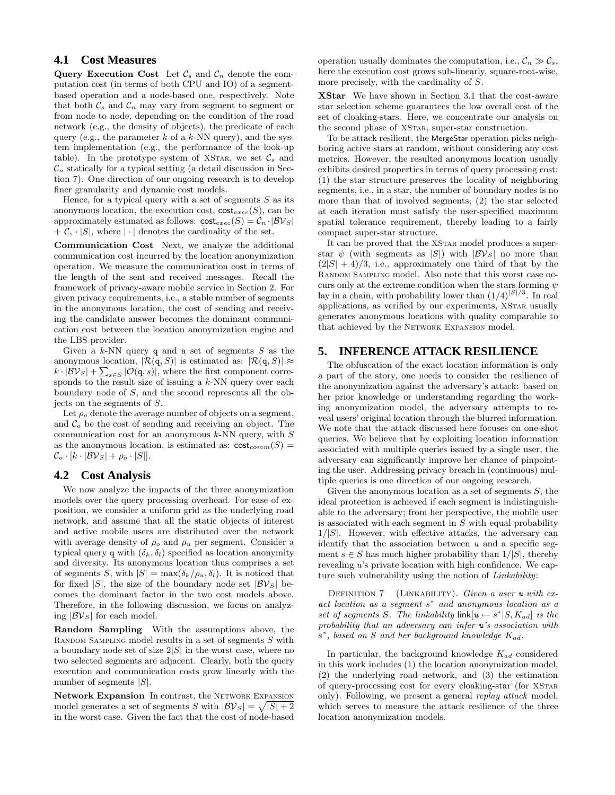# **4.1 Cost Measures**

Query Execution Cost Let  $\mathcal{C}_s$  and  $\mathcal{C}_n$  denote the computation cost (in terms of both CPU and IO) of a segmentbased operation and a node-based one, respectively. Note that both  $\mathcal{C}_s$  and  $\mathcal{C}_n$  may vary from segment to segment or from node to node, depending on the condition of the road network (e.g., the density of objects), the predicate of each query (e.g., the parameter  $k$  of a  $k$ -NN query), and the system implementation (e.g., the performance of the look-up table). In the prototype system of XSTAR, we set  $\mathcal{C}_s$  and  $\mathcal{C}_n$  statically for a typical setting (a detail discussion in Section 7). One direction of our ongoing research is to develop finer granularity and dynamic cost models.

Hence, for a typical query with a set of segments  $S$  as its anonymous location, the execution cost,  $cost_{exec}(S)$ , can be approximately estimated as follows:  $\text{cost}_{exec}(S) = C_n \cdot |\mathcal{BV}_S|$  $+ C_s \cdot |S|$ , where  $|\cdot|$  denotes the cardinality of the set.

Communication Cost Next, we analyze the additional communication cost incurred by the location anonymization operation. We measure the communication cost in terms of the length of the sent and received messages. Recall the framework of privacy-aware mobile service in Section 2. For given privacy requirements, i.e., a stable number of segments in the anonymous location, the cost of sending and receiving the candidate answer becomes the dominant communication cost between the location anonymization engine and the LBS provider.

Given a  $k$ -NN query q and a set of segments  $S$  as the anonymous location,  $|\mathcal{R}(\mathbf{q}, S)|$  is estimated as:  $|\mathcal{R}(\mathbf{q}, S)| \approx$  $k \cdot |\mathcal{BV}_S| + \sum_{s \in S} |\mathcal{O}(\mathsf{q}, s)|$ , where the first component corresponds to the result size of issuing a k-NN query over each boundary node of S, and the second represents all the objects on the segments of S.

Let  $\rho_o$  denote the average number of objects on a segment, and  $\mathcal{C}_o$  be the cost of sending and receiving an object. The communication cost for an anonymous  $k$ -NN query, with  $S$ as the anonymous location, is estimated as:  $\text{cost}_{comm}(S) =$  $\mathcal{C}_o \cdot [k \cdot |\mathcal{BV}_S| + \rho_o \cdot |S|].$ 

# **4.2 Cost Analysis**

We now analyze the impacts of the three anonymization models over the query processing overhead. For ease of exposition, we consider a uniform grid as the underlying road network, and assume that all the static objects of interest and active mobile users are distributed over the network with average density of  $\rho_o$  and  $\rho_u$  per segment. Consider a typical query **q** with  $(\delta_k, \delta_l)$  specified as location anonymity and diversity. Its anonymous location thus comprises a set of segments S, with  $|S| = \max(\delta_k/\rho_u, \delta_l)$ . It is noticed that for fixed  $|S|$ , the size of the boundary node set  $|BV_S|$  becomes the dominant factor in the two cost models above. Therefore, in the following discussion, we focus on analyzing  $|\mathcal{BV}_S|$  for each model.

Random Sampling With the assumptions above, the RANDOM SAMPLING model results in a set of segments  $S$  with a boundary node set of size  $2|S|$  in the worst case, where no two selected segments are adjacent. Clearly, both the query execution and communication costs grow linearly with the number of segments  $|S|$ .

Network Expansion In contrast, the NETWORK EXPANSION model generates a set of segments S with  $|BV_S| = \sqrt{|S| + 2}$ in the worst case. Given the fact that the cost of node-based

operation usually dominates the computation, i.e.,  $\mathcal{C}_n \gg \mathcal{C}_s$ , here the execution cost grows sub-linearly, square-root-wise, more precisely, with the cardinality of S.

XStar We have shown in Section 3.1 that the cost-aware star selection scheme guarantees the low overall cost of the set of cloaking-stars. Here, we concentrate our analysis on the second phase of XStar, super-star construction.

To be attack resilient, the MergeStar operation picks neighboring active stars at random, without considering any cost metrics. However, the resulted anonymous location usually exhibits desired properties in terms of query processing cost: (1) the star structure preserves the locality of neighboring segments, i.e., in a star, the number of boundary nodes is no more than that of involved segments; (2) the star selected at each iteration must satisfy the user-specified maximum spatial tolerance requirement, thereby leading to a fairly compact super-star structure.

It can be proved that the XSTAR model produces a superstar  $\psi$  (with segments as |S|) with  $|\mathcal{BV}_S|$  no more than  $(2|S| + 4)/3$ , i.e., approximately one third of that by the RANDOM SAMPLING model. Also note that this worst case occurs only at the extreme condition when the stars forming  $\psi$ lay in a chain, with probability lower than  $(1/4)^{|S|/3}$ . In real applications, as verified by our experiments, XSTAR usually generates anonymous locations with quality comparable to that achieved by the NETWORK EXPANSION model.

# **5. INFERENCE ATTACK RESILIENCE**

The obfuscation of the exact location information is only a part of the story, one needs to consider the resilience of the anonymization against the adversary's attack: based on her prior knowledge or understanding regarding the working anonymization model, the adversary attempts to reveal users' original location through the blurred information. We note that the attack discussed here focuses on one-shot queries. We believe that by exploiting location information associated with multiple queries issued by a single user, the adversary can significantly improve her chance of pinpointing the user. Addressing privacy breach in (continuous) multiple queries is one direction of our ongoing research.

Given the anonymous location as a set of segments  $S$ , the ideal protection is achieved if each segment is indistinguishable to the adversary; from her perspective, the mobile user is associated with each segment in  $S$  with equal probability  $1/|S|$ . However, with effective attacks, the adversary can identify that the association between  $u$  and a specific segment  $s \in S$  has much higher probability than  $1/|S|$ , thereby revealing u's private location with high confidence. We capture such vulnerability using the notion of *Linkability*:

Definition 7 (Linkability). *Given a user* u *with exact location as a segment* s ∗ *and anonymous location as a set of segments* S. The linkability  $\text{link}[\mathbf{u} \leftarrow s^* | S, K_{ad}]$  is the *probability that an adversary can infer* u*'s association with* s ∗ *, based on* S *and her background knowledge* Kad*.*

In particular, the background knowledge  $K_{ad}$  considered in this work includes (1) the location anonymization model, (2) the underlying road network, and (3) the estimation of query-processing cost for every cloaking-star (for XStar only). Following, we present a general *replay attack* model, which serves to measure the attack resilience of the three location anonymization models.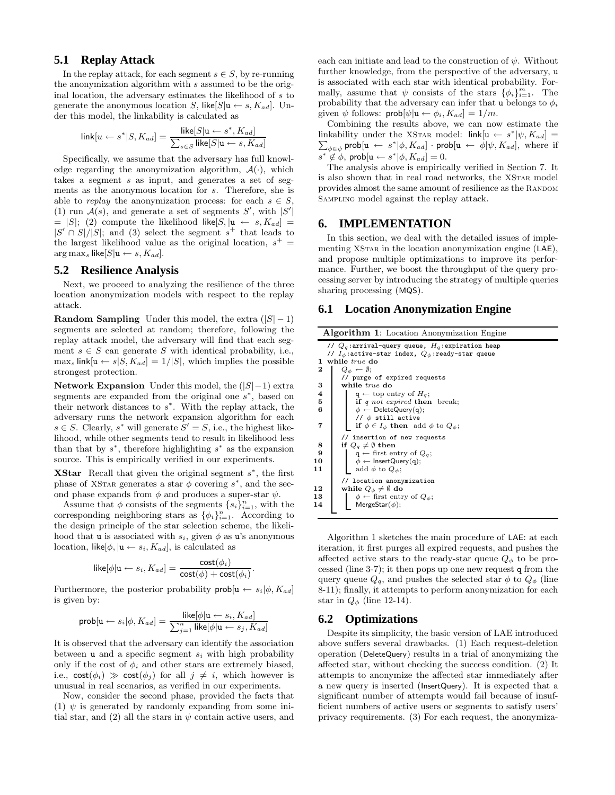# **5.1 Replay Attack**

In the replay attack, for each segment  $s \in S$ , by re-running the anonymization algorithm with s assumed to be the original location, the adversary estimates the likelihood of s to generate the anonymous location S, like  $S|\mathbf{u} \leftarrow s, K_{ad}$ . Under this model, the linkability is calculated as

$$
\text{link}[u \leftarrow s^* | S, K_{ad}] = \frac{\text{like}[S | u \leftarrow s^*, K_{ad}]}{\sum_{s \in S} \text{like}[S | u \leftarrow s, K_{ad}]}
$$

Specifically, we assume that the adversary has full knowledge regarding the anonymization algorithm,  $A(\cdot)$ , which takes a segment s as input, and generates a set of segments as the anonymous location for s. Therefore, she is able to *replay* the anonymization process: for each  $s \in S$ , (1) run  $\mathcal{A}(s)$ , and generate a set of segments S', with  $|S'|$  $= |S|$ ; (2) compute the likelihood like  $[S, |\mathbf{u} \leftarrow s, K_{ad}] =$  $|S' \cap S|/|S|$ ; and (3) select the segment  $s^+$  that leads to the largest likelihood value as the original location,  $s^+$  =  $\arg \max_s \text{like}[S] \mathbf{u} \leftarrow s, K_{ad}].$ 

## **5.2 Resilience Analysis**

Next, we proceed to analyzing the resilience of the three location anonymization models with respect to the replay attack.

Random Sampling Under this model, the extra  $(|S| - 1)$ segments are selected at random; therefore, following the replay attack model, the adversary will find that each segment  $s \in S$  can generate S with identical probability, i.e.,  $\max_s \textsf{link}[u \leftarrow s | S, K_{ad}] = 1/|S|$ , which implies the possible strongest protection.

Network Expansion Under this model, the  $(|S|-1)$  extra segments are expanded from the original one  $s^*$ , based on their network distances to  $s^*$ . With the replay attack, the adversary runs the network expansion algorithm for each  $s \in S$ . Clearly,  $s^*$  will generate  $S' = S$ , i.e., the highest likelihood, while other segments tend to result in likelihood less than that by  $s^*$ , therefore highlighting  $s^*$  as the expansion source. This is empirically verified in our experiments.

**XStar** Recall that given the original segment  $s^*$ , the first phase of XSTAR generates a star  $\phi$  covering  $s^*$ , and the second phase expands from  $\phi$  and produces a super-star  $\psi$ .

Assume that  $\phi$  consists of the segments  $\{s_i\}_{i=1}^n$ , with the corresponding neighboring stars as  $\{\phi_i\}_{i=1}^n$ . According to the design principle of the star selection scheme, the likelihood that **u** is associated with  $s_i$ , given  $\phi$  as **u**'s anonymous location, like[ $\phi$ ,  $|\mathbf{u} \leftarrow s_i, K_{ad}$ ], is calculated as

$$
\mathsf{like}[\phi|\mathbf{u} \leftarrow s_i, K_{ad}] = \frac{\mathsf{cost}(\phi_i)}{\mathsf{cost}(\phi) + \mathsf{cost}(\phi_i)}
$$

.

Furthermore, the posterior probability  $prob[u \leftarrow s_i | \phi, K_{ad}]$ is given by:

$$
\text{prob}[{\tt u} \leftarrow s_i | \phi, K_{ad}] = \frac{\text{like}[\phi | {\tt u} \leftarrow s_i, K_{ad}]}{\sum_{j=1}^n \text{like}[\phi | {\tt u} \leftarrow s_j, K_{ad}]}
$$

It is observed that the adversary can identify the association between **u** and a specific segment  $s_i$  with high probability only if the cost of  $\phi_i$  and other stars are extremely biased, i.e.,  $\text{cost}(\phi_i) \gg \text{cost}(\phi_i)$  for all  $j \neq i$ , which however is unusual in real scenarios, as verified in our experiments.

Now, consider the second phase, provided the facts that (1)  $\psi$  is generated by randomly expanding from some initial star, and (2) all the stars in  $\psi$  contain active users, and each can initiate and lead to the construction of  $\psi$ . Without further knowledge, from the perspective of the adversary, u is associated with each star with identical probability. Formally, assume that  $\psi$  consists of the stars  $\{\phi_i\}_{i=1}^m$ . The probability that the adversary can infer that u belongs to  $\phi_i$ given  $\psi$  follows:  $\mathsf{prob}[\psi|\mathbf{u} \leftarrow \phi_i, K_{ad}] = 1/m$ .

Combining the results above, we can now estimate the linkability under the XSTAR model:  $\mathsf{link}[u \leftarrow s^* | \psi, K_{ad}] =$  $\sum_{\phi \in \psi}$  prob[u  $\leftarrow s^* | \phi, K_{ad}] \cdot \textsf{prob}[u \leftarrow \phi | \psi, K_{ad}]$ , where if  $s^* \notin \phi$ , prob $[\mathfrak{u} \leftarrow s^* | \phi, K_{ad}] = 0$ .

The analysis above is empirically verified in Section 7. It is also shown that in real road networks, the XSTAR model provides almost the same amount of resilience as the RANDOM Sampling model against the replay attack.

# **6. IMPLEMENTATION**

In this section, we deal with the detailed issues of implementing XSTAR in the location anonymization engine (LAE), and propose multiple optimizations to improve its performance. Further, we boost the throughput of the query processing server by introducing the strategy of multiple queries sharing processing (MQS).

#### **6.1 Location Anonymization Engine**

|             | <b>Algorithm 1:</b> Location Anonymization Engine          |  |  |  |  |  |  |  |  |
|-------------|------------------------------------------------------------|--|--|--|--|--|--|--|--|
|             | // $Q_q$ :arrival-query queue, $H_q$ :expiration heap      |  |  |  |  |  |  |  |  |
|             | // $I_\phi$ :active-star index, $Q_\phi$ :ready-star queue |  |  |  |  |  |  |  |  |
| ı.          | while <i>true</i> do                                       |  |  |  |  |  |  |  |  |
| $\mathbf 2$ | $Q_{\phi} \leftarrow \emptyset;$                           |  |  |  |  |  |  |  |  |
|             | // purge of expired requests                               |  |  |  |  |  |  |  |  |
| 3           | while true do                                              |  |  |  |  |  |  |  |  |
| 4           | $q \leftarrow$ top entry of $H_q$ ;                        |  |  |  |  |  |  |  |  |
| 5           | if $q$ not expired then break;                             |  |  |  |  |  |  |  |  |
| 6           | $\phi \leftarrow$ DeleteQuery(q);                          |  |  |  |  |  |  |  |  |
|             | // $\phi$ still active                                     |  |  |  |  |  |  |  |  |
| 7           | if $\phi \in I_{\phi}$ then add $\phi$ to $Q_{\phi}$ ;     |  |  |  |  |  |  |  |  |
|             | // insertion of new requests                               |  |  |  |  |  |  |  |  |
| 8           | if $Q_a \neq \emptyset$ then                               |  |  |  |  |  |  |  |  |
| 9           | $q \leftarrow$ first entry of $Q_q$ ;                      |  |  |  |  |  |  |  |  |
| 10          | $\phi \leftarrow$ InsertQuery(q);                          |  |  |  |  |  |  |  |  |
| 11          | add $\phi$ to $Q_{\phi}$ ;                                 |  |  |  |  |  |  |  |  |
|             | // location anonymization                                  |  |  |  |  |  |  |  |  |
| 12          | while $Q_{\phi} \neq \emptyset$ do                         |  |  |  |  |  |  |  |  |
| 13          | $\phi \leftarrow$ first entry of $Q_{\phi}$ ;              |  |  |  |  |  |  |  |  |
| 14          | MergeStar $(\phi)$ ;                                       |  |  |  |  |  |  |  |  |
|             |                                                            |  |  |  |  |  |  |  |  |

Algorithm 1 sketches the main procedure of LAE: at each iteration, it first purges all expired requests, and pushes the affected active stars to the ready-star queue  $Q_{\phi}$  to be processed (line 3-7); it then pops up one new request q from the query queue  $Q_q$ , and pushes the selected star  $\phi$  to  $Q_{\phi}$  (line 8-11); finally, it attempts to perform anonymization for each star in  $Q_{\phi}$  (line 12-14).

#### **6.2 Optimizations**

Despite its simplicity, the basic version of LAE introduced above suffers several drawbacks. (1) Each request-deletion operation (DeleteQuery) results in a trial of anonymizing the affected star, without checking the success condition. (2) It attempts to anonymize the affected star immediately after a new query is inserted (InsertQuery). It is expected that a significant number of attempts would fail because of insufficient numbers of active users or segments to satisfy users' privacy requirements. (3) For each request, the anonymiza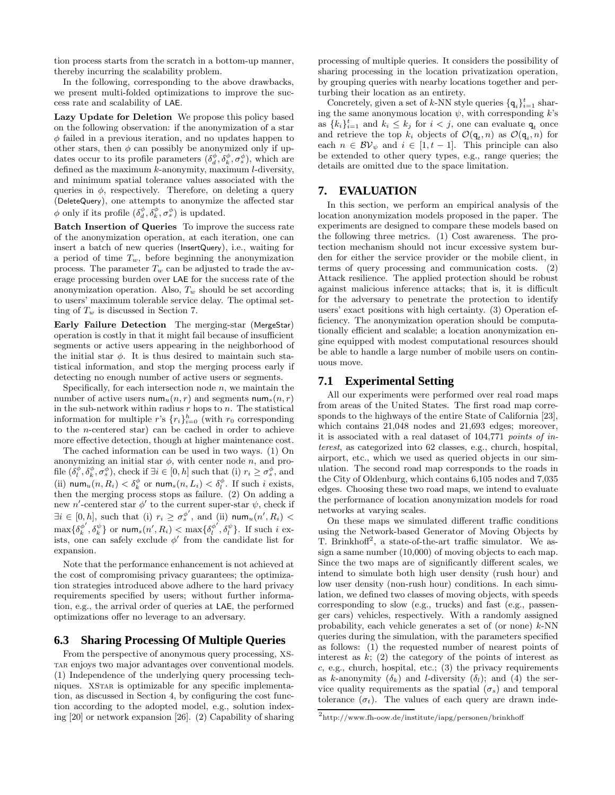tion process starts from the scratch in a bottom-up manner, thereby incurring the scalability problem.

In the following, corresponding to the above drawbacks, we present multi-folded optimizations to improve the success rate and scalability of LAE.

Lazy Update for Deletion We propose this policy based on the following observation: if the anonymization of a star  $\phi$  failed in a previous iteration, and no updates happen to other stars, then  $\phi$  can possibly be anonymized only if updates occur to its profile parameters  $(\delta_d^{\phi}, \delta_k^{\phi}, \sigma_s^{\phi})$ , which are defined as the maximum  $k$ -anonymity, maximum  $l$ -diversity, and minimum spatial tolerance values associated with the queries in  $\phi$ , respectively. Therefore, on deleting a query (DeleteQuery), one attempts to anonymize the affected star  $\phi$  only if its profile  $(\delta_d^{\phi}, \delta_k^{\phi}, \sigma_s^{\phi})$  is updated.

Batch Insertion of Queries To improve the success rate of the anonymization operation, at each iteration, one can insert a batch of new queries (InsertQuery), i.e., waiting for a period of time  $T_w$ , before beginning the anonymization process. The parameter  $T_w$  can be adjusted to trade the average processing burden over LAE for the success rate of the anonymization operation. Also,  $T_w$  should be set according to users' maximum tolerable service delay. The optimal setting of  $T_w$  is discussed in Section 7.

Early Failure Detection The merging-star (MergeStar) operation is costly in that it might fail because of insufficient segments or active users appearing in the neighborhood of the initial star  $\phi$ . It is thus desired to maintain such statistical information, and stop the merging process early if detecting no enough number of active users or segments.

Specifically, for each intersection node  $n$ , we maintain the number of active users  $\text{num}_u(n, r)$  and segments  $\text{num}_s(n, r)$ in the sub-network within radius  $r$  hops to  $n$ . The statistical information for multiple r's  ${r_i}_{i=0}^h$  (with  $r_0$  corresponding to the n-centered star) can be cached in order to achieve more effective detection, though at higher maintenance cost.

The cached information can be used in two ways. (1) On anonymizing an initial star  $\phi$ , with center node n, and profile  $(\delta_i^{\phi}, \delta_k^{\phi}, \sigma_s^{\phi})$ , check if  $\exists i \in [0, h]$  such that (i)  $r_i \geq \sigma_s^{\phi}$ , and (ii)  $\textsf{num}_u(n, R_i) < \delta_k^{\phi}$  or  $\textsf{num}_s(n, L_i) < \delta_l^{\phi}$ . If such  $i$  exists, then the merging process stops as failure. (2) On adding a new n'-centered star  $\phi'$  to the current super-star  $\psi$ , check if  $\exists i \in [0, h],$  such that (i)  $r_i \geq \sigma_s^{\phi'}$ , and (ii)  $\text{num}_u(n', R_i)$  $\max{\{\delta_k^{\phi'}}\}$  $\left( \phi'_{k}, \delta_{k}^{\psi} \right)$  or num,  $(n', R_{i}) < \max \{ \delta_{l}^{\phi'} \}$  $\delta_l^{\psi'}, \delta_l^{\psi}$ . If such i exists, one can safely exclude  $\phi'$  from the candidate list for expansion.

Note that the performance enhancement is not achieved at the cost of compromising privacy guarantees; the optimization strategies introduced above adhere to the hard privacy requirements specified by users; without further information, e.g., the arrival order of queries at LAE, the performed optimizations offer no leverage to an adversary.

#### **6.3 Sharing Processing Of Multiple Queries**

From the perspective of anonymous query processing, XStar enjoys two major advantages over conventional models. (1) Independence of the underlying query processing techniques. XSTAR is optimizable for any specific implementation, as discussed in Section 4, by configuring the cost function according to the adopted model, e.g., solution indexing [20] or network expansion [26]. (2) Capability of sharing processing of multiple queries. It considers the possibility of sharing processing in the location privatization operation, by grouping queries with nearby locations together and perturbing their location as an entirety.

Concretely, given a set of k-NN style queries  $\{q_i\}_{i=1}^t$  sharing the same anonymous location  $\psi$ , with corresponding k's as  $\{k_i\}_{i=1}^t$  and  $k_i \leq k_j$  for  $i < j$ , one can evaluate  $q_t$  once and retrieve the top  $k_i$  objects of  $\mathcal{O}(\mathbf{q}_i, n)$  as  $\mathcal{O}(\mathbf{q}_i, n)$  for each  $n \in BV_{\psi}$  and  $i \in [1, t-1]$ . This principle can also be extended to other query types, e.g., range queries; the details are omitted due to the space limitation.

# **7. EVALUATION**

In this section, we perform an empirical analysis of the location anonymization models proposed in the paper. The experiments are designed to compare these models based on the following three metrics. (1) Cost awareness. The protection mechanism should not incur excessive system burden for either the service provider or the mobile client, in terms of query processing and communication costs. (2) Attack resilience. The applied protection should be robust against malicious inference attacks; that is, it is difficult for the adversary to penetrate the protection to identify users' exact positions with high certainty. (3) Operation efficiency. The anonymization operation should be computationally efficient and scalable; a location anonymization engine equipped with modest computational resources should be able to handle a large number of mobile users on continuous move.

#### **7.1 Experimental Setting**

All our experiments were performed over real road maps from areas of the United States. The first road map corresponds to the highways of the entire State of California [23], which contains 21,048 nodes and 21,693 edges; moreover, it is associated with a real dataset of 104,771 *points of interest*, as categorized into 62 classes, e.g., church, hospital, airport, etc., which we used as queried objects in our simulation. The second road map corresponds to the roads in the City of Oldenburg, which contains 6,105 nodes and 7,035 edges. Choosing these two road maps, we intend to evaluate the performance of location anonymization models for road networks at varying scales.

On these maps we simulated different traffic conditions using the Network-based Generator of Moving Objects by T. Brinkhoff<sup>2</sup>, a state-of-the-art traffic simulator. We assign a same number (10,000) of moving objects to each map. Since the two maps are of significantly different scales, we intend to simulate both high user density (rush hour) and low user density (non-rush hour) conditions. In each simulation, we defined two classes of moving objects, with speeds corresponding to slow (e.g., trucks) and fast (e.g., passenger cars) vehicles, respectively. With a randomly assigned probability, each vehicle generates a set of (or none)  $k$ -NN queries during the simulation, with the parameters specified as follows: (1) the requested number of nearest points of interest as  $k$ ; (2) the category of the points of interest as  $c, e.g., church, hospital, etc.; (3) the privacy requirements$ as k-anonymity  $(\delta_k)$  and l-diversity  $(\delta_l)$ ; and (4) the service quality requirements as the spatial  $(\sigma_s)$  and temporal tolerance  $(\sigma_t)$ . The values of each query are drawn inde-

 $^{2}$ http://www.fh-oow.de/institute/iapg/personen/brinkhoff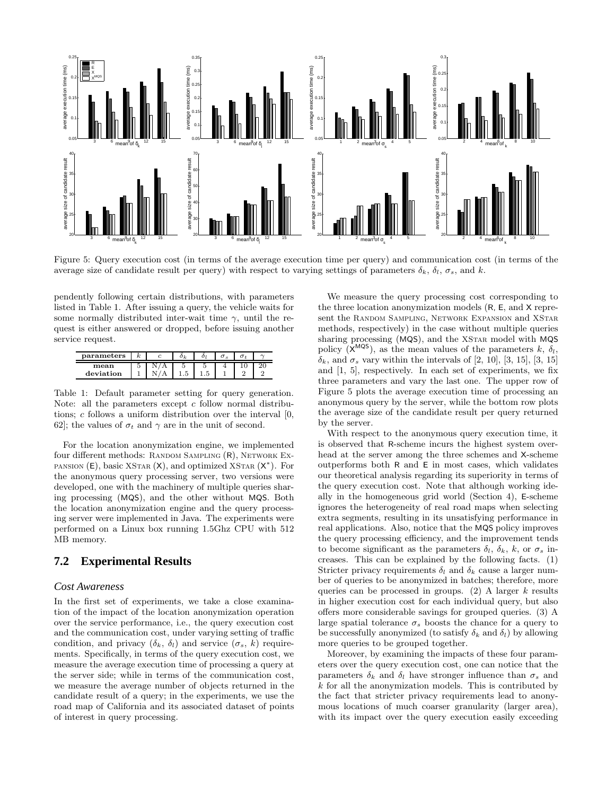

Figure 5: Query execution cost (in terms of the average execution time per query) and communication cost (in terms of the average size of candidate result per query) with respect to varying settings of parameters  $\delta_k$ ,  $\delta_l$ ,  $\sigma_s$ , and k.

pendently following certain distributions, with parameters listed in Table 1. After issuing a query, the vehicle waits for some normally distributed inter-wait time  $\gamma$ , until the request is either answered or dropped, before issuing another service request.

| parameters | ь. | ີ | $\mathbf{v}_k$ | U | ັ<br>e |  |
|------------|----|---|----------------|---|--------|--|
| mean       | υ  |   |                |   |        |  |
| deviation  |    |   | -              |   |        |  |

Table 1: Default parameter setting for query generation. Note: all the parameters except  $c$  follow normal distributions;  $c$  follows a uniform distribution over the interval  $[0,$ 62]; the values of  $\sigma_t$  and  $\gamma$  are in the unit of second.

For the location anonymization engine, we implemented four different methods: RANDOM SAMPLING (R), NETWORK EX-PANSION  $(E)$ , basic XSTAR  $(X)$ , and optimized XSTAR  $(X^*)$ . For the anonymous query processing server, two versions were developed, one with the machinery of multiple queries sharing processing (MQS), and the other without MQS. Both the location anonymization engine and the query processing server were implemented in Java. The experiments were performed on a Linux box running 1.5Ghz CPU with 512 MB memory.

# **7.2 Experimental Results**

#### *Cost Awareness*

In the first set of experiments, we take a close examination of the impact of the location anonymization operation over the service performance, i.e., the query execution cost and the communication cost, under varying setting of traffic condition, and privacy  $(\delta_k, \delta_l)$  and service  $(\sigma_s, k)$  requirements. Specifically, in terms of the query execution cost, we measure the average execution time of processing a query at the server side; while in terms of the communication cost, we measure the average number of objects returned in the candidate result of a query; in the experiments, we use the road map of California and its associated dataset of points of interest in query processing.

We measure the query processing cost corresponding to the three location anonymization models (R, E, and X represent the RANDOM SAMPLING, NETWORK EXPANSION and XSTAR methods, respectively) in the case without multiple queries sharing processing (MQS), and the XSTAR model with MQS policy  $(X^{MQS})$ , as the mean values of the parameters k,  $\delta_l$ ,  $\delta_k$ , and  $\sigma_s$  vary within the intervals of [2, 10], [3, 15], [3, 15] and [1, 5], respectively. In each set of experiments, we fix three parameters and vary the last one. The upper row of Figure 5 plots the average execution time of processing an anonymous query by the server, while the bottom row plots the average size of the candidate result per query returned by the server.

With respect to the anonymous query execution time, it is observed that R-scheme incurs the highest system overhead at the server among the three schemes and X-scheme outperforms both R and E in most cases, which validates our theoretical analysis regarding its superiority in terms of the query execution cost. Note that although working ideally in the homogeneous grid world (Section 4), E-scheme ignores the heterogeneity of real road maps when selecting extra segments, resulting in its unsatisfying performance in real applications. Also, notice that the MQS policy improves the query processing efficiency, and the improvement tends to become significant as the parameters  $\delta_l$ ,  $\delta_k$ ,  $k$ , or  $\sigma_s$  increases. This can be explained by the following facts. (1) Stricter privacy requirements  $\delta_l$  and  $\delta_k$  cause a larger number of queries to be anonymized in batches; therefore, more queries can be processed in groups. (2) A larger  $k$  results in higher execution cost for each individual query, but also offers more considerable savings for grouped queries. (3) A large spatial tolerance  $\sigma_s$  boosts the chance for a query to be successfully anonymized (to satisfy  $\delta_k$  and  $\delta_l$ ) by allowing more queries to be grouped together.

Moreover, by examining the impacts of these four parameters over the query execution cost, one can notice that the parameters  $\delta_k$  and  $\delta_l$  have stronger influence than  $\sigma_s$  and k for all the anonymization models. This is contributed by the fact that stricter privacy requirements lead to anonymous locations of much coarser granularity (larger area), with its impact over the query execution easily exceeding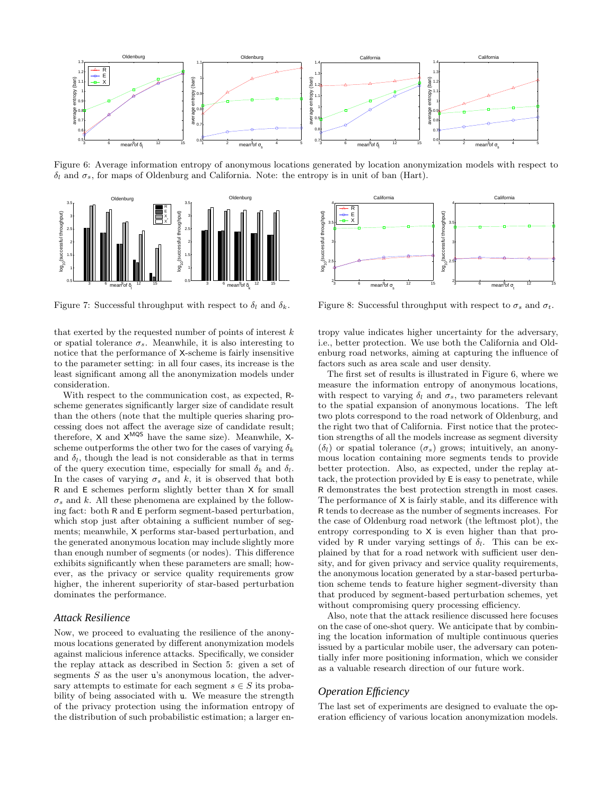

Figure 6: Average information entropy of anonymous locations generated by location anonymization models with respect to  $\delta_l$  and  $\sigma_s$ , for maps of Oldenburg and California. Note: the entropy is in unit of ban (Hart).



Figure 7: Successful throughput with respect to  $\delta_l$  and  $\delta_k$ .

that exerted by the requested number of points of interest  $k$ or spatial tolerance  $\sigma_s$ . Meanwhile, it is also interesting to notice that the performance of X-scheme is fairly insensitive to the parameter setting: in all four cases, its increase is the least significant among all the anonymization models under consideration.

With respect to the communication cost, as expected, Rscheme generates significantly larger size of candidate result than the others (note that the multiple queries sharing processing does not affect the average size of candidate result; therefore,  $X$  and  $X^{MQS}$  have the same size). Meanwhile,  $X$ scheme outperforms the other two for the cases of varying  $\delta_k$ and  $\delta_l$ , though the lead is not considerable as that in terms of the query execution time, especially for small  $\delta_k$  and  $\delta_l$ . In the cases of varying  $\sigma_s$  and k, it is observed that both R and E schemes perform slightly better than X for small  $\sigma_s$  and k. All these phenomena are explained by the following fact: both R and E perform segment-based perturbation, which stop just after obtaining a sufficient number of segments; meanwhile, X performs star-based perturbation, and the generated anonymous location may include slightly more than enough number of segments (or nodes). This difference exhibits significantly when these parameters are small; however, as the privacy or service quality requirements grow higher, the inherent superiority of star-based perturbation dominates the performance.

## *Attack Resilience*

Now, we proceed to evaluating the resilience of the anonymous locations generated by different anonymization models against malicious inference attacks. Specifically, we consider the replay attack as described in Section 5: given a set of segments  $S$  as the user  $\mathbf{u}$ 's anonymous location, the adversary attempts to estimate for each segment  $s \in S$  its probability of being associated with u. We measure the strength of the privacy protection using the information entropy of the distribution of such probabilistic estimation; a larger en-



Figure 8: Successful throughput with respect to  $\sigma_s$  and  $\sigma_t$ .

tropy value indicates higher uncertainty for the adversary, i.e., better protection. We use both the California and Oldenburg road networks, aiming at capturing the influence of factors such as area scale and user density.

The first set of results is illustrated in Figure 6, where we measure the information entropy of anonymous locations, with respect to varying  $\delta_l$  and  $\sigma_s$ , two parameters relevant to the spatial expansion of anonymous locations. The left two plots correspond to the road network of Oldenburg, and the right two that of California. First notice that the protection strengths of all the models increase as segment diversity  $(\delta_l)$  or spatial tolerance  $(\sigma_s)$  grows; intuitively, an anonymous location containing more segments tends to provide better protection. Also, as expected, under the replay attack, the protection provided by E is easy to penetrate, while R demonstrates the best protection strength in most cases. The performance of X is fairly stable, and its difference with R tends to decrease as the number of segments increases. For the case of Oldenburg road network (the leftmost plot), the entropy corresponding to X is even higher than that provided by R under varying settings of  $\delta_l$ . This can be explained by that for a road network with sufficient user density, and for given privacy and service quality requirements, the anonymous location generated by a star-based perturbation scheme tends to feature higher segment-diversity than that produced by segment-based perturbation schemes, yet without compromising query processing efficiency.

Also, note that the attack resilience discussed here focuses on the case of one-shot query. We anticipate that by combining the location information of multiple continuous queries issued by a particular mobile user, the adversary can potentially infer more positioning information, which we consider as a valuable research direction of our future work.

#### *Operation Efficiency*

The last set of experiments are designed to evaluate the operation efficiency of various location anonymization models.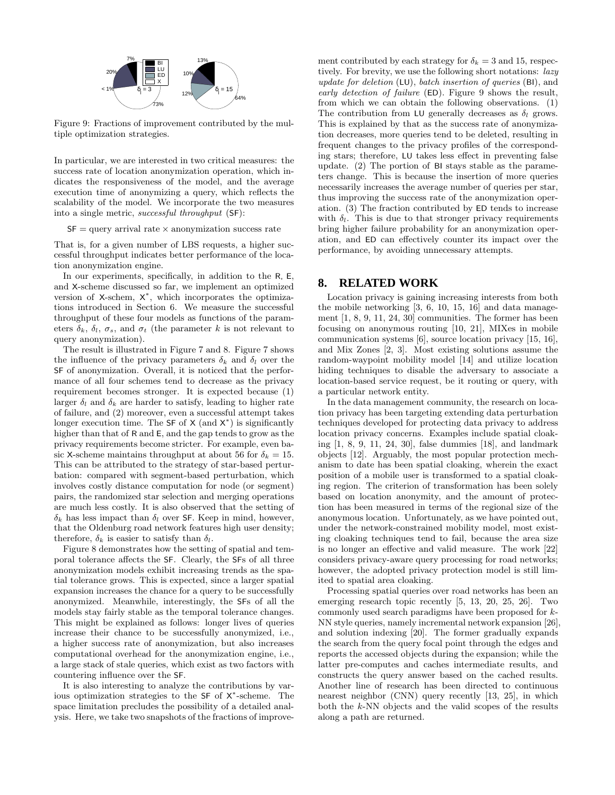

Figure 9: Fractions of improvement contributed by the multiple optimization strategies.

In particular, we are interested in two critical measures: the success rate of location anonymization operation, which indicates the responsiveness of the model, and the average execution time of anonymizing a query, which reflects the scalability of the model. We incorporate the two measures into a single metric, *successful throughput* (SF):

 $SF = query$  arrival rate  $\times$  anonymization success rate

That is, for a given number of LBS requests, a higher successful throughput indicates better performance of the location anonymization engine.

In our experiments, specifically, in addition to the R, E, and X-scheme discussed so far, we implement an optimized version of X-schem,  $X^*$ , which incorporates the optimizations introduced in Section 6. We measure the successful throughput of these four models as functions of the parameters  $\delta_k$ ,  $\delta_l$ ,  $\sigma_s$ , and  $\sigma_t$  (the parameter k is not relevant to query anonymization).

The result is illustrated in Figure 7 and 8. Figure 7 shows the influence of the privacy parameters  $\delta_k$  and  $\delta_l$  over the SF of anonymization. Overall, it is noticed that the performance of all four schemes tend to decrease as the privacy requirement becomes stronger. It is expected because (1) larger  $\delta_l$  and  $\delta_k$  are harder to satisfy, leading to higher rate of failure, and (2) moreover, even a successful attempt takes longer execution time. The  $SF$  of  $X$  (and  $X^*$ ) is significantly higher than that of R and E, and the gap tends to grow as the privacy requirements become stricter. For example, even basic X-scheme maintains throughput at about 56 for  $\delta_k = 15$ . This can be attributed to the strategy of star-based perturbation: compared with segment-based perturbation, which involves costly distance computation for node (or segment) pairs, the randomized star selection and merging operations are much less costly. It is also observed that the setting of  $\delta_k$  has less impact than  $\delta_l$  over SF. Keep in mind, however, that the Oldenburg road network features high user density; therefore,  $\delta_k$  is easier to satisfy than  $\delta_l$ .

Figure 8 demonstrates how the setting of spatial and temporal tolerance affects the SF. Clearly, the SFs of all three anonymization models exhibit increasing trends as the spatial tolerance grows. This is expected, since a larger spatial expansion increases the chance for a query to be successfully anonymized. Meanwhile, interestingly, the SFs of all the models stay fairly stable as the temporal tolerance changes. This might be explained as follows: longer lives of queries increase their chance to be successfully anonymized, i.e., a higher success rate of anonymization, but also increases computational overhead for the anonymization engine, i.e., a large stack of stale queries, which exist as two factors with countering influence over the SF.

It is also interesting to analyze the contributions by various optimization strategies to the SF of X<sup>\*</sup>-scheme. The space limitation precludes the possibility of a detailed analysis. Here, we take two snapshots of the fractions of improvement contributed by each strategy for  $\delta_k = 3$  and 15, respectively. For brevity, we use the following short notations: *lazy update for deletion* (LU), *batch insertion of queries* (BI), and *early detection of failure* (ED). Figure 9 shows the result, from which we can obtain the following observations. (1) The contribution from LU generally decreases as  $\delta_l$  grows. This is explained by that as the success rate of anonymization decreases, more queries tend to be deleted, resulting in frequent changes to the privacy profiles of the corresponding stars; therefore, LU takes less effect in preventing false update. (2) The portion of BI stays stable as the parameters change. This is because the insertion of more queries necessarily increases the average number of queries per star, thus improving the success rate of the anonymization operation. (3) The fraction contributed by ED tends to increase with  $\delta_l$ . This is due to that stronger privacy requirements bring higher failure probability for an anonymization operation, and ED can effectively counter its impact over the performance, by avoiding unnecessary attempts.

# **8. RELATED WORK**

Location privacy is gaining increasing interests from both the mobile networking [3, 6, 10, 15, 16] and data management [1, 8, 9, 11, 24, 30] communities. The former has been focusing on anonymous routing [10, 21], MIXes in mobile communication systems [6], source location privacy [15, 16], and Mix Zones [2, 3]. Most existing solutions assume the random-waypoint mobility model [14] and utilize location hiding techniques to disable the adversary to associate a location-based service request, be it routing or query, with a particular network entity.

In the data management community, the research on location privacy has been targeting extending data perturbation techniques developed for protecting data privacy to address location privacy concerns. Examples include spatial cloaking [1, 8, 9, 11, 24, 30], false dummies [18], and landmark objects [12]. Arguably, the most popular protection mechanism to date has been spatial cloaking, wherein the exact position of a mobile user is transformed to a spatial cloaking region. The criterion of transformation has been solely based on location anonymity, and the amount of protection has been measured in terms of the regional size of the anonymous location. Unfortunately, as we have pointed out, under the network-constrained mobility model, most existing cloaking techniques tend to fail, because the area size is no longer an effective and valid measure. The work [22] considers privacy-aware query processing for road networks; however, the adopted privacy protection model is still limited to spatial area cloaking.

Processing spatial queries over road networks has been an emerging research topic recently [5, 13, 20, 25, 26]. Two commonly used search paradigms have been proposed for k-NN style queries, namely incremental network expansion [26], and solution indexing [20]. The former gradually expands the search from the query focal point through the edges and reports the accessed objects during the expansion; while the latter pre-computes and caches intermediate results, and constructs the query answer based on the cached results. Another line of research has been directed to continuous nearest neighbor (CNN) query recently [13, 25], in which both the k-NN objects and the valid scopes of the results along a path are returned.